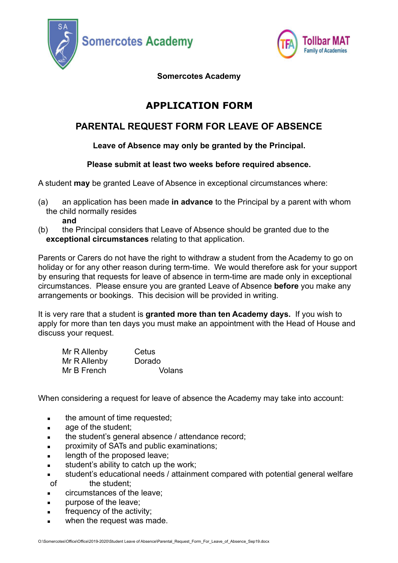



**Somercotes Academy** 

# **APPLICATION FORM**

## **PARENTAL REQUEST FORM FOR LEAVE OF ABSENCE**

### **Leave of Absence may only be granted by the Principal.**

### **Please submit at least two weeks before required absence.**

A student **may** be granted Leave of Absence in exceptional circumstances where:

(a) an application has been made **in advance** to the Principal by a parent with whom the child normally resides

**and** 

(b) the Principal considers that Leave of Absence should be granted due to the **exceptional circumstances** relating to that application.

Parents or Carers do not have the right to withdraw a student from the Academy to go on holiday or for any other reason during term-time. We would therefore ask for your support by ensuring that requests for leave of absence in term-time are made only in exceptional circumstances. Please ensure you are granted Leave of Absence **before** you make any arrangements or bookings. This decision will be provided in writing.

It is very rare that a student is **granted more than ten Academy days.** If you wish to apply for more than ten days you must make an appointment with the Head of House and discuss your request.

| Mr R Allenby | Cetus         |
|--------------|---------------|
| Mr R Allenby | Dorado        |
| Mr B French  | <b>Volans</b> |

When considering a request for leave of absence the Academy may take into account:

- **•** the amount of time requested;
- age of the student;
- **EXECT** the student's general absence / attendance record:
- proximity of SATs and public examinations;
- length of the proposed leave;
- student's ability to catch up the work:
- **student's educational needs / attainment compared with potential general welfare**<br>of the student; the student:
- circumstances of the leave:
- purpose of the leave:
- frequency of the activity;
- when the request was made.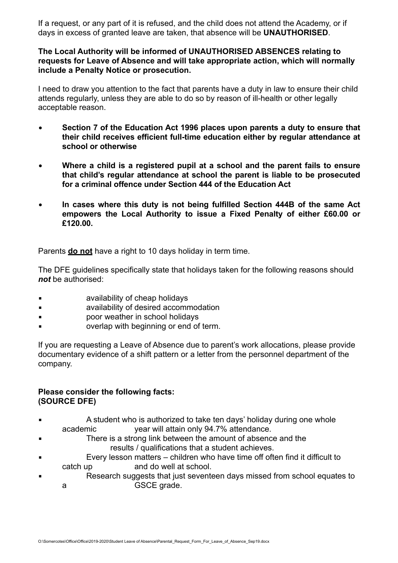If a request, or any part of it is refused, and the child does not attend the Academy, or if days in excess of granted leave are taken, that absence will be **UNAUTHORISED**.

#### **The Local Authority will be informed of UNAUTHORISED ABSENCES relating to requests for Leave of Absence and will take appropriate action, which will normally include a Penalty Notice or prosecution.**

I need to draw you attention to the fact that parents have a duty in law to ensure their child attends regularly, unless they are able to do so by reason of ill-health or other legally acceptable reason.

- • **Section 7 of the Education Act 1996 places upon parents a duty to ensure that their child receives efficient full-time education either by regular attendance at school or otherwise**
- • **Where a child is a registered pupil at a school and the parent fails to ensure that child's regular attendance at school the parent is liable to be prosecuted for a criminal offence under Section 444 of the Education Act**
- • **In cases where this duty is not being fulfilled Section 444B of the same Act empowers the Local Authority to issue a Fixed Penalty of either £60.00 or £120.00.**

Parents **do not** have a right to 10 days holiday in term time.

The DFE guidelines specifically state that holidays taken for the following reasons should *not* be authorised:

- availability of cheap holidays
- availability of desired accommodation
- poor weather in school holidays
- overlap with beginning or end of term.

If you are requesting a Leave of Absence due to parent's work allocations, please provide documentary evidence of a shift pattern or a letter from the personnel department of the company.

#### **Please consider the following facts: (SOURCE DFE)**

- A student who is authorized to take ten days' holiday during one whole academic year will attain only 94.7% attendance.
- There is a strong link between the amount of absence and the results / qualifications that a student achieves.
- Every lesson matters children who have time off often find it difficult to catch up and do well at school.
- Research suggests that just seventeen days missed from school equates to a GSCE grade.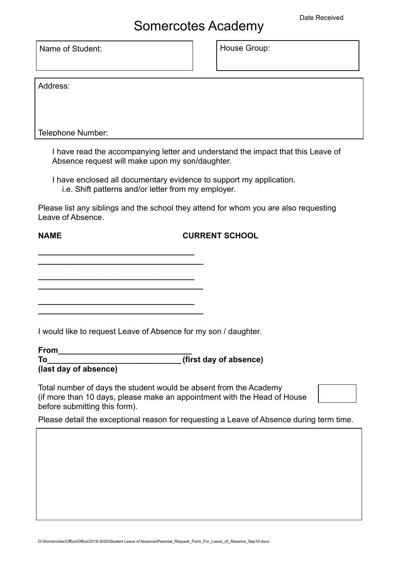Name of Student: Name of Student:

Address:

Telephone Number:

I have read the accompanying letter and understand the impact that this Leave of Absence request will make upon my son/daughter.

I have enclosed all documentary evidence to support my application. i.e. Shift patterns and/or letter from my employer.

Please list any siblings and the school they attend for whom you are also requesting Leave of Absence.

#### **NAME CURRENT SCHOOL**

**\_\_\_\_\_\_\_\_\_\_\_\_\_\_\_\_\_\_\_\_\_\_\_\_\_\_\_\_\_\_\_\_\_\_\_\_\_** 

**\_\_\_\_\_\_\_\_\_\_\_\_\_\_\_\_\_\_\_\_\_\_\_\_\_\_\_\_\_\_\_\_\_\_\_ \_\_\_\_\_\_\_\_\_\_\_\_\_\_\_\_\_\_\_\_\_\_\_\_\_\_\_\_\_\_\_\_\_\_\_\_\_** 

**\_\_\_\_\_\_\_\_\_\_\_\_\_\_\_\_\_\_\_\_\_\_\_\_\_\_\_\_\_\_\_\_\_\_\_ \_\_\_\_\_\_\_\_\_\_\_\_\_\_\_\_\_\_\_\_\_\_\_\_\_\_\_\_\_\_\_\_\_\_\_\_\_** 

**\_\_\_\_\_\_\_\_\_\_\_\_\_\_\_\_\_\_\_\_\_\_\_\_\_\_\_\_\_\_\_\_\_\_\_** 

I would like to request Leave of Absence for my son / daughter.

| <b>From</b>           |                        |
|-----------------------|------------------------|
| To                    | (first day of absence) |
| (last day of absence) |                        |

Total number of days the student would be absent from the Academy (if more than 10 days, please make an appointment with the Head of House before submitting this form).

Please detail the exceptional reason for requesting a Leave of Absence during term time.